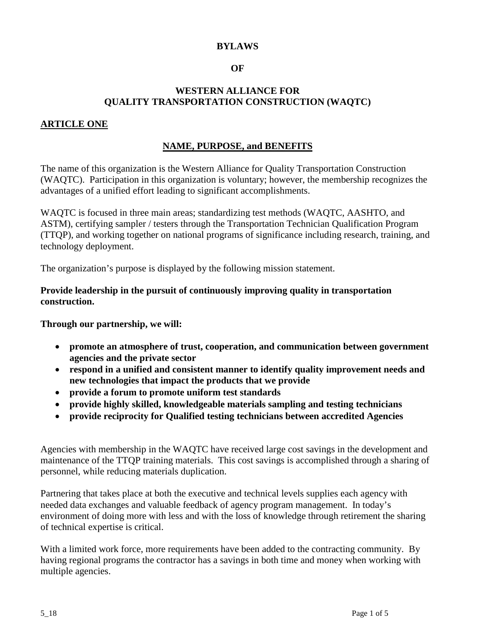## **BYLAWS**

### **OF**

### **WESTERN ALLIANCE FOR QUALITY TRANSPORTATION CONSTRUCTION (WAQTC)**

### **ARTICLE ONE**

### **NAME, PURPOSE, and BENEFITS**

The name of this organization is the Western Alliance for Quality Transportation Construction (WAQTC). Participation in this organization is voluntary; however, the membership recognizes the advantages of a unified effort leading to significant accomplishments.

WAQTC is focused in three main areas; standardizing test methods (WAQTC, AASHTO, and ASTM), certifying sampler / testers through the Transportation Technician Qualification Program (TTQP), and working together on national programs of significance including research, training, and technology deployment.

The organization's purpose is displayed by the following mission statement.

### **Provide leadership in the pursuit of continuously improving quality in transportation construction.**

**Through our partnership, we will:**

- **promote an atmosphere of trust, cooperation, and communication between government agencies and the private sector**
- **respond in a unified and consistent manner to identify quality improvement needs and new technologies that impact the products that we provide**
- **provide a forum to promote uniform test standards**
- **provide highly skilled, knowledgeable materials sampling and testing technicians**
- **provide reciprocity for Qualified testing technicians between accredited Agencies**

Agencies with membership in the WAQTC have received large cost savings in the development and maintenance of the TTQP training materials. This cost savings is accomplished through a sharing of personnel, while reducing materials duplication.

Partnering that takes place at both the executive and technical levels supplies each agency with needed data exchanges and valuable feedback of agency program management. In today's environment of doing more with less and with the loss of knowledge through retirement the sharing of technical expertise is critical.

With a limited work force, more requirements have been added to the contracting community. By having regional programs the contractor has a savings in both time and money when working with multiple agencies.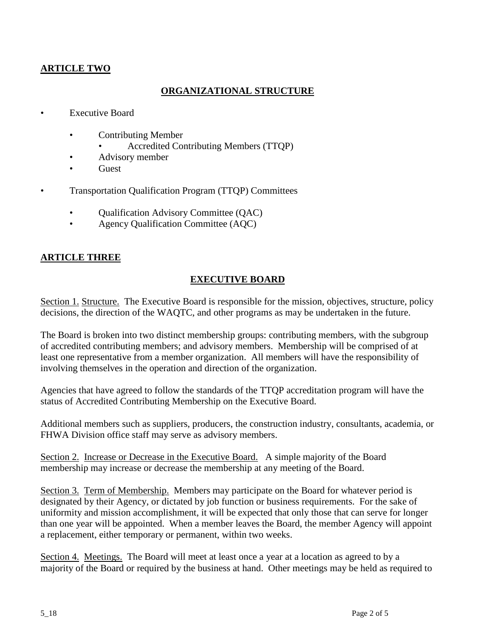# **ARTICLE TWO**

### **ORGANIZATIONAL STRUCTURE**

- Executive Board
	- Contributing Member
		- Accredited Contributing Members (TTQP)
	- Advisory member
	- **Guest**
- Transportation Qualification Program (TTQP) Committees
	- Qualification Advisory Committee (QAC)
	- Agency Qualification Committee (AQC)

### **ARTICLE THREE**

### **EXECUTIVE BOARD**

Section 1. Structure. The Executive Board is responsible for the mission, objectives, structure, policy decisions, the direction of the WAQTC, and other programs as may be undertaken in the future.

The Board is broken into two distinct membership groups: contributing members, with the subgroup of accredited contributing members; and advisory members. Membership will be comprised of at least one representative from a member organization. All members will have the responsibility of involving themselves in the operation and direction of the organization.

Agencies that have agreed to follow the standards of the TTQP accreditation program will have the status of Accredited Contributing Membership on the Executive Board.

Additional members such as suppliers, producers, the construction industry, consultants, academia, or FHWA Division office staff may serve as advisory members.

Section 2. Increase or Decrease in the Executive Board. A simple majority of the Board membership may increase or decrease the membership at any meeting of the Board.

Section 3. Term of Membership. Members may participate on the Board for whatever period is designated by their Agency, or dictated by job function or business requirements. For the sake of uniformity and mission accomplishment, it will be expected that only those that can serve for longer than one year will be appointed. When a member leaves the Board, the member Agency will appoint a replacement, either temporary or permanent, within two weeks.

Section 4. Meetings. The Board will meet at least once a year at a location as agreed to by a majority of the Board or required by the business at hand. Other meetings may be held as required to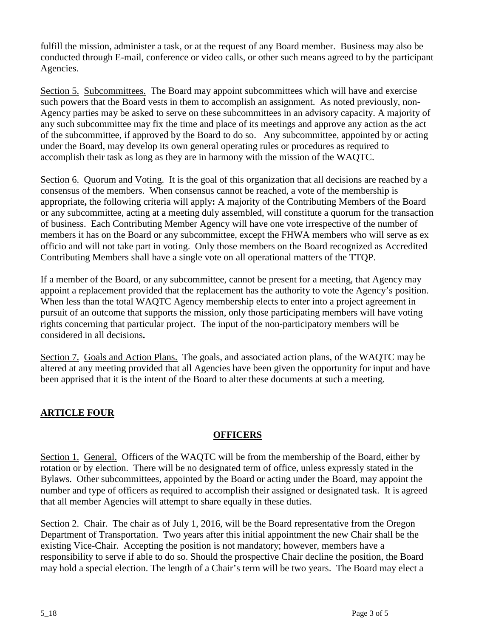fulfill the mission, administer a task, or at the request of any Board member. Business may also be conducted through E-mail, conference or video calls, or other such means agreed to by the participant Agencies.

Section 5. Subcommittees. The Board may appoint subcommittees which will have and exercise such powers that the Board vests in them to accomplish an assignment. As noted previously, non-Agency parties may be asked to serve on these subcommittees in an advisory capacity. A majority of any such subcommittee may fix the time and place of its meetings and approve any action as the act of the subcommittee, if approved by the Board to do so. Any subcommittee, appointed by or acting under the Board, may develop its own general operating rules or procedures as required to accomplish their task as long as they are in harmony with the mission of the WAQTC.

Section 6. Quorum and Voting. It is the goal of this organization that all decisions are reached by a consensus of the members. When consensus cannot be reached, a vote of the membership is appropriate**,** the following criteria will apply**:** A majority of the Contributing Members of the Board or any subcommittee, acting at a meeting duly assembled, will constitute a quorum for the transaction of business. Each Contributing Member Agency will have one vote irrespective of the number of members it has on the Board or any subcommittee, except the FHWA members who will serve as ex officio and will not take part in voting. Only those members on the Board recognized as Accredited Contributing Members shall have a single vote on all operational matters of the TTQP.

If a member of the Board, or any subcommittee, cannot be present for a meeting, that Agency may appoint a replacement provided that the replacement has the authority to vote the Agency's position. When less than the total WAQTC Agency membership elects to enter into a project agreement in pursuit of an outcome that supports the mission, only those participating members will have voting rights concerning that particular project. The input of the non-participatory members will be considered in all decisions**.**

Section 7. Goals and Action Plans. The goals, and associated action plans, of the WAQTC may be altered at any meeting provided that all Agencies have been given the opportunity for input and have been apprised that it is the intent of the Board to alter these documents at such a meeting.

# **ARTICLE FOUR**

## **OFFICERS**

Section 1. General. Officers of the WAQTC will be from the membership of the Board, either by rotation or by election. There will be no designated term of office, unless expressly stated in the Bylaws. Other subcommittees, appointed by the Board or acting under the Board, may appoint the number and type of officers as required to accomplish their assigned or designated task. It is agreed that all member Agencies will attempt to share equally in these duties.

Section 2. Chair. The chair as of July 1, 2016, will be the Board representative from the Oregon Department of Transportation. Two years after this initial appointment the new Chair shall be the existing Vice-Chair. Accepting the position is not mandatory; however, members have a responsibility to serve if able to do so. Should the prospective Chair decline the position, the Board may hold a special election. The length of a Chair's term will be two years. The Board may elect a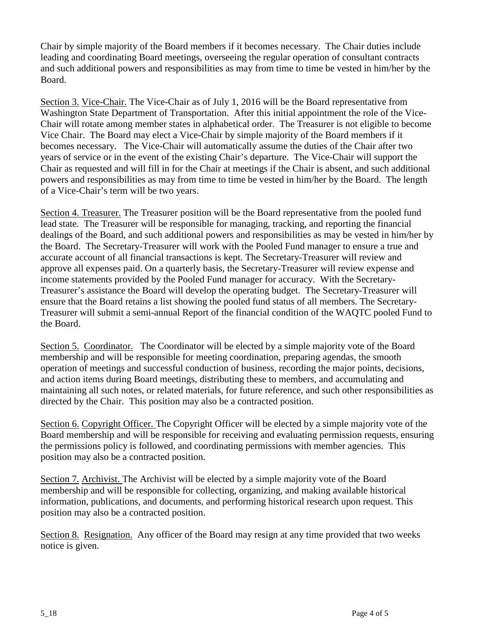Chair by simple majority of the Board members if it becomes necessary. The Chair duties include leading and coordinating Board meetings, overseeing the regular operation of consultant contracts and such additional powers and responsibilities as may from time to time be vested in him/her by the Board.

Section 3. Vice-Chair. The Vice-Chair as of July 1, 2016 will be the Board representative from Washington State Department of Transportation. After this initial appointment the role of the Vice-Chair will rotate among member states in alphabetical order. The Treasurer is not eligible to become Vice Chair. The Board may elect a Vice-Chair by simple majority of the Board members if it becomes necessary. The Vice-Chair will automatically assume the duties of the Chair after two years of service or in the event of the existing Chair's departure. The Vice-Chair will support the Chair as requested and will fill in for the Chair at meetings if the Chair is absent, and such additional powers and responsibilities as may from time to time be vested in him/her by the Board. The length of a Vice-Chair's term will be two years.

Section 4. Treasurer. The Treasurer position will be the Board representative from the pooled fund lead state. The Treasurer will be responsible for managing, tracking, and reporting the financial dealings of the Board, and such additional powers and responsibilities as may be vested in him/her by the Board. The Secretary-Treasurer will work with the Pooled Fund manager to ensure a true and accurate account of all financial transactions is kept. The Secretary-Treasurer will review and approve all expenses paid. On a quarterly basis, the Secretary-Treasurer will review expense and income statements provided by the Pooled Fund manager for accuracy. With the Secretary-Treasurer's assistance the Board will develop the operating budget. The Secretary-Treasurer will ensure that the Board retains a list showing the pooled fund status of all members. The Secretary-Treasurer will submit a semi-annual Report of the financial condition of the WAQTC pooled Fund to the Board.

Section 5. Coordinator. The Coordinator will be elected by a simple majority vote of the Board membership and will be responsible for meeting coordination, preparing agendas, the smooth operation of meetings and successful conduction of business, recording the major points, decisions, and action items during Board meetings, distributing these to members, and accumulating and maintaining all such notes, or related materials, for future reference, and such other responsibilities as directed by the Chair. This position may also be a contracted position.

Section 6. Copyright Officer. The Copyright Officer will be elected by a simple majority vote of the Board membership and will be responsible for receiving and evaluating permission requests, ensuring the permissions policy is followed, and coordinating permissions with member agencies. This position may also be a contracted position.

Section 7. Archivist. The Archivist will be elected by a simple majority vote of the Board membership and will be responsible for collecting, organizing, and making available historical information, publications, and documents, and performing historical research upon request. This position may also be a contracted position.

Section 8. Resignation. Any officer of the Board may resign at any time provided that two weeks notice is given.